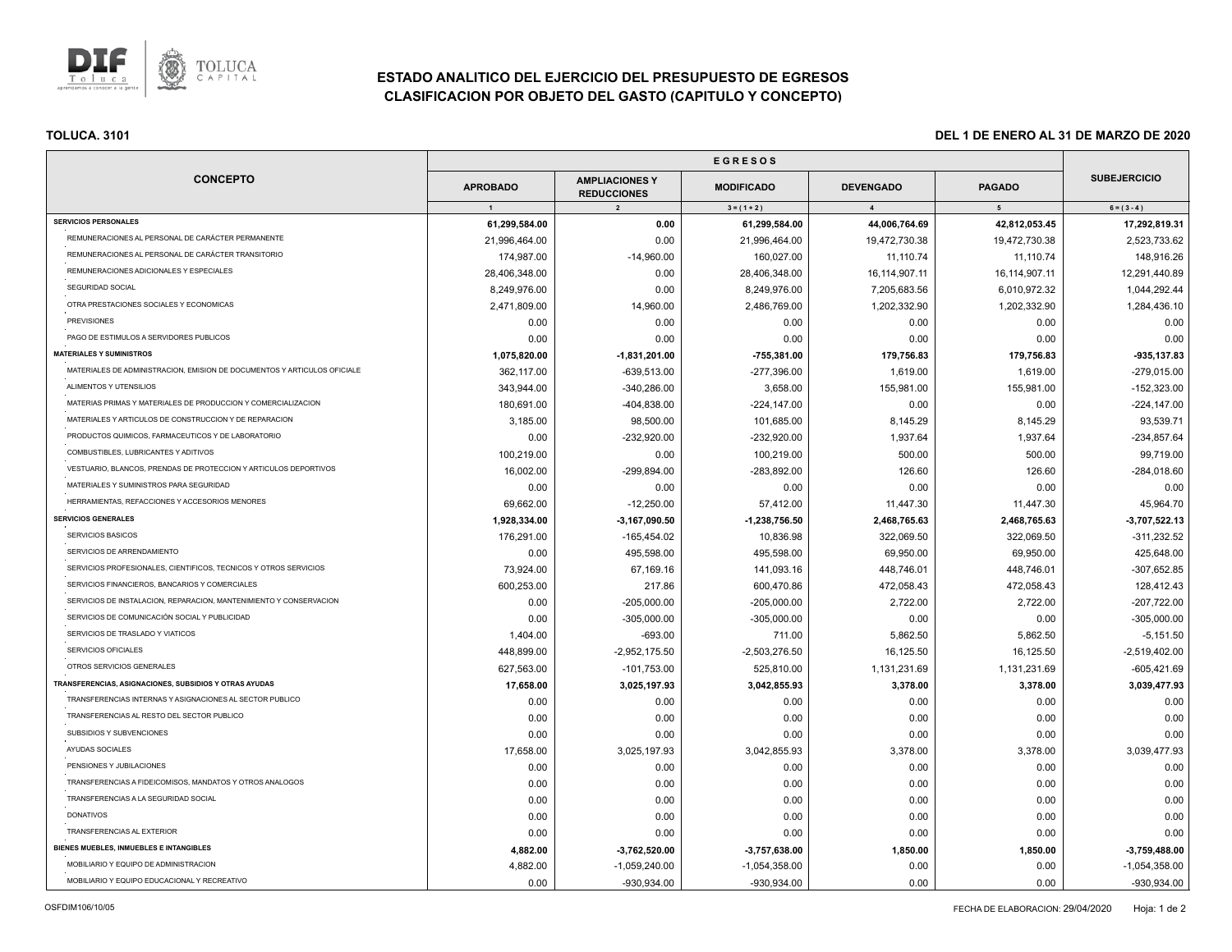

# **ESTADO ANALITICO DEL EJERCICIO DEL PRESUPUESTO DE EGRESOS CLASIFICACION POR OBJETO DEL GASTO (CAPITULO Y CONCEPTO)**

|                                                                          | <b>EGRESOS</b>                  |                                                                        |                                    |                                    |                                 |                                      |
|--------------------------------------------------------------------------|---------------------------------|------------------------------------------------------------------------|------------------------------------|------------------------------------|---------------------------------|--------------------------------------|
| <b>CONCEPTO</b>                                                          | <b>APROBADO</b><br>$\mathbf{1}$ | <b>AMPLIACIONES Y</b><br><b>REDUCCIONES</b><br>$\overline{\mathbf{2}}$ | <b>MODIFICADO</b><br>$3 = (1 + 2)$ | <b>DEVENGADO</b><br>$\overline{4}$ | <b>PAGADO</b><br>5 <sub>5</sub> | <b>SUBEJERCICIO</b><br>$6 = (3 - 4)$ |
|                                                                          |                                 |                                                                        |                                    |                                    |                                 |                                      |
| <b>SERVICIOS PERSONALES</b>                                              | 61,299,584.00                   | 0.00                                                                   | 61,299,584.00                      | 44,006,764.69                      | 42,812,053.45                   | 17,292,819.31                        |
| REMUNERACIONES AL PERSONAL DE CARÁCTER PERMANENTE                        | 21,996,464.00                   | 0.00                                                                   | 21,996,464.00                      | 19,472,730.38                      | 19,472,730.38                   | 2,523,733.62                         |
| REMUNERACIONES AL PERSONAL DE CARÁCTER TRANSITORIO                       | 174,987.00                      | $-14,960.00$                                                           | 160,027.00                         | 11,110.74                          | 11,110.74                       | 148,916.26                           |
| REMUNERACIONES ADICIONALES Y ESPECIALES                                  | 28,406,348.00                   | 0.00                                                                   | 28,406,348.00                      | 16, 114, 907. 11                   | 16,114,907.11                   | 12,291,440.89                        |
| SEGURIDAD SOCIAL                                                         | 8,249,976.00                    | 0.00                                                                   | 8,249,976.00                       | 7,205,683.56                       | 6,010,972.32                    | 1,044,292.44                         |
| OTRA PRESTACIONES SOCIALES Y ECONOMICAS                                  | 2,471,809.00                    | 14,960.00                                                              | 2,486,769.00                       | 1,202,332.90                       | 1,202,332.90                    | 1,284,436.10                         |
| <b>PREVISIONES</b>                                                       | 0.00                            | 0.00                                                                   | 0.00                               | 0.00                               | 0.00                            | 0.00                                 |
| PAGO DE ESTIMULOS A SERVIDORES PUBLICOS                                  | 0.00                            | 0.00                                                                   | 0.00                               | 0.00                               | 0.00                            | 0.00                                 |
| <b>MATERIALES Y SUMINISTROS</b>                                          | 1,075,820.00                    | $-1,831,201.00$                                                        | $-755,381.00$                      | 179,756.83                         | 179,756.83                      | -935,137.83                          |
| MATERIALES DE ADMINISTRACION, EMISION DE DOCUMENTOS Y ARTICULOS OFICIALE | 362,117.00                      | -639,513.00                                                            | -277,396.00                        | 1,619.00                           | 1,619.00                        | $-279,015.00$                        |
| ALIMENTOS Y UTENSILIOS                                                   | 343.944.00                      | -340,286.00                                                            | 3,658.00                           | 155,981.00                         | 155,981.00                      | $-152,323.00$                        |
| MATERIAS PRIMAS Y MATERIALES DE PRODUCCION Y COMERCIALIZACION            | 180,691.00                      | $-404,838.00$                                                          | -224,147.00                        | 0.00                               | 0.00                            | $-224,147.00$                        |
| MATERIALES Y ARTICULOS DE CONSTRUCCION Y DE REPARACION                   | 3,185.00                        | 98,500.00                                                              | 101,685.00                         | 8,145.29                           | 8,145.29                        | 93,539.71                            |
| PRODUCTOS QUIMICOS, FARMACEUTICOS Y DE LABORATORIO                       | 0.00                            | -232,920.00                                                            | -232,920.00                        | 1,937.64                           | 1,937.64                        | $-234,857.64$                        |
| COMBUSTIBLES, LUBRICANTES Y ADITIVOS                                     | 100,219.00                      | 0.00                                                                   | 100,219.00                         | 500.00                             | 500.00                          | 99,719.00                            |
| VESTUARIO, BLANCOS, PRENDAS DE PROTECCION Y ARTICULOS DEPORTIVOS         | 16,002.00                       | -299,894.00                                                            | -283,892.00                        | 126.60                             | 126.60                          | $-284,018.60$                        |
| MATERIALES Y SUMINISTROS PARA SEGURIDAD                                  | 0.00                            | 0.00                                                                   | 0.00                               | 0.00                               | 0.00                            | 0.00                                 |
| HERRAMIENTAS, REFACCIONES Y ACCESORIOS MENORES                           | 69,662.00                       | $-12,250.00$                                                           | 57,412.00                          | 11,447.30                          | 11,447.30                       | 45,964.70                            |
| <b>SERVICIOS GENERALES</b>                                               | 1,928,334.00                    | $-3,167,090.50$                                                        | $-1,238,756.50$                    | 2,468,765.63                       | 2,468,765.63                    | $-3,707,522.13$                      |
| SERVICIOS BASICOS                                                        | 176,291.00                      | $-165,454.02$                                                          | 10,836.98                          | 322,069.50                         | 322,069.50                      | $-311,232.52$                        |
| SERVICIOS DE ARRENDAMIENTO                                               | 0.00                            | 495,598.00                                                             | 495,598.00                         | 69,950.00                          | 69,950.00                       | 425,648.00                           |
| SERVICIOS PROFESIONALES, CIENTIFICOS, TECNICOS Y OTROS SERVICIOS         | 73,924.00                       | 67,169.16                                                              | 141,093.16                         | 448,746.01                         | 448,746.01                      | -307,652.85                          |
| SERVICIOS FINANCIEROS, BANCARIOS Y COMERCIALES                           | 600,253.00                      | 217.86                                                                 | 600,470.86                         | 472,058.43                         | 472,058.43                      | 128,412.43                           |
| SERVICIOS DE INSTALACION, REPARACION, MANTENIMIENTO Y CONSERVACION       | 0.00                            | $-205,000.00$                                                          | $-205,000.00$                      | 2,722.00                           | 2,722.00                        | $-207,722.00$                        |
| SERVICIOS DE COMUNICACIÓN SOCIAL Y PUBLICIDAD                            | 0.00                            | $-305,000.00$                                                          | $-305,000.00$                      | 0.00                               | 0.00                            | $-305,000.00$                        |
| SERVICIOS DE TRASLADO Y VIATICOS                                         | 1,404.00                        | $-693.00$                                                              | 711.00                             | 5,862.50                           | 5,862.50                        | $-5,151.50$                          |
| SERVICIOS OFICIALES                                                      | 448,899.00                      | $-2,952,175.50$                                                        | $-2,503,276.50$                    | 16,125.50                          | 16,125.50                       | $-2,519,402.00$                      |
| OTROS SERVICIOS GENERALES                                                | 627,563.00                      | $-101,753.00$                                                          | 525,810.00                         | 1,131,231.69                       | 1,131,231.69                    | $-605,421.69$                        |
| TRANSFERENCIAS, ASIGNACIONES, SUBSIDIOS Y OTRAS AYUDAS                   | 17,658.00                       | 3,025,197.93                                                           | 3,042,855.93                       | 3,378.00                           | 3,378.00                        | 3,039,477.93                         |
| TRANSFERENCIAS INTERNAS Y ASIGNACIONES AL SECTOR PUBLICO                 | 0.00                            | 0.00                                                                   | 0.00                               | 0.00                               | 0.00                            | 0.00                                 |
| TRANSFERENCIAS AL RESTO DEL SECTOR PUBLICO                               | 0.00                            | 0.00                                                                   | 0.00                               | 0.00                               | 0.00                            | 0.00                                 |
| SUBSIDIOS Y SUBVENCIONES                                                 | 0.00                            | 0.00                                                                   | 0.00                               | 0.00                               | 0.00                            | 0.00                                 |
| AYUDAS SOCIALES                                                          | 17,658.00                       | 3,025,197.93                                                           | 3,042,855.93                       | 3,378.00                           | 3,378.00                        | 3,039,477.93                         |
| PENSIONES Y JUBILACIONES                                                 | 0.00                            | 0.00                                                                   | 0.00                               | 0.00                               | 0.00                            | 0.00                                 |
| TRANSFERENCIAS A FIDEICOMISOS, MANDATOS Y OTROS ANALOGOS                 | 0.00                            | 0.00                                                                   | 0.00                               | 0.00                               | 0.00                            | 0.00                                 |
| TRANSFERENCIAS A LA SEGURIDAD SOCIAL                                     | 0.00                            | 0.00                                                                   | 0.00                               | 0.00                               | 0.00                            | 0.00                                 |
| <b>DONATIVOS</b>                                                         | 0.00                            | 0.00                                                                   | 0.00                               | 0.00                               | 0.00                            | 0.00                                 |
| TRANSFERENCIAS AL EXTERIOR                                               | 0.00                            | 0.00                                                                   | 0.00                               | 0.00                               | 0.00                            | 0.00                                 |
| BIENES MUEBLES, INMUEBLES E INTANGIBLES                                  | 4,882.00                        | $-3,762,520.00$                                                        | $-3,757,638.00$                    | 1,850.00                           | 1,850.00                        | $-3,759,488.00$                      |
| MOBILIARIO Y EQUIPO DE ADMINISTRACION                                    | 4,882.00                        | $-1,059,240.00$                                                        | $-1,054,358.00$                    | 0.00                               | 0.00                            | $-1,054,358.00$                      |
| MOBILIARIO Y EQUIPO EDUCACIONAL Y RECREATIVO                             | 0.00                            | -930,934.00                                                            | -930,934.00                        | 0.00                               | 0.00                            | -930,934.00                          |